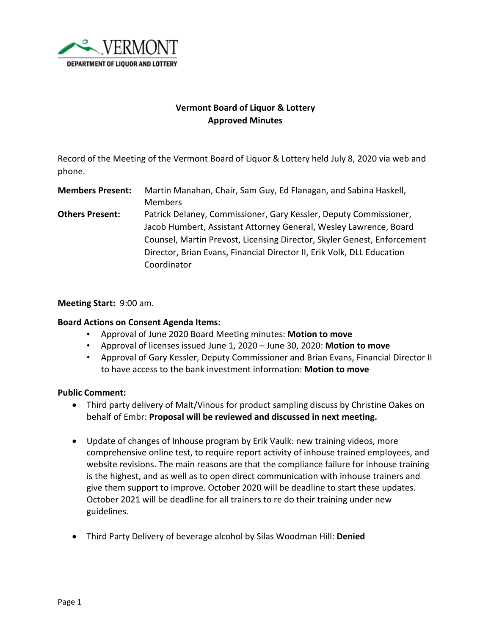

# **Vermont Board of Liquor & Lottery Approved Minutes**

Record of the Meeting of the Vermont Board of Liquor & Lottery held July 8, 2020 via web and phone.

**Members Present:** Martin Manahan, Chair, Sam Guy, Ed Flanagan, and Sabina Haskell, Members **Others Present:** Patrick Delaney, Commissioner, Gary Kessler, Deputy Commissioner, Jacob Humbert, Assistant Attorney General, Wesley Lawrence, Board Counsel, Martin Prevost, Licensing Director, Skyler Genest, Enforcement Director, Brian Evans, Financial Director II, Erik Volk, DLL Education Coordinator

#### **Meeting Start:** 9:00 am.

#### **Board Actions on Consent Agenda Items:**

- Approval of June 2020 Board Meeting minutes: **Motion to move**
- Approval of licenses issued June 1, 2020 June 30, 2020: **Motion to move**
- Approval of Gary Kessler, Deputy Commissioner and Brian Evans, Financial Director II to have access to the bank investment information: **Motion to move**

### **Public Comment:**

- Third party delivery of Malt/Vinous for product sampling discuss by Christine Oakes on behalf of Embr: **Proposal will be reviewed and discussed in next meeting.**
- Update of changes of Inhouse program by Erik Vaulk: new training videos, more comprehensive online test, to require report activity of inhouse trained employees, and website revisions. The main reasons are that the compliance failure for inhouse training is the highest, and as well as to open direct communication with inhouse trainers and give them support to improve. October 2020 will be deadline to start these updates. October 2021 will be deadline for all trainers to re do their training under new guidelines.
- Third Party Delivery of beverage alcohol by Silas Woodman Hill: **Denied**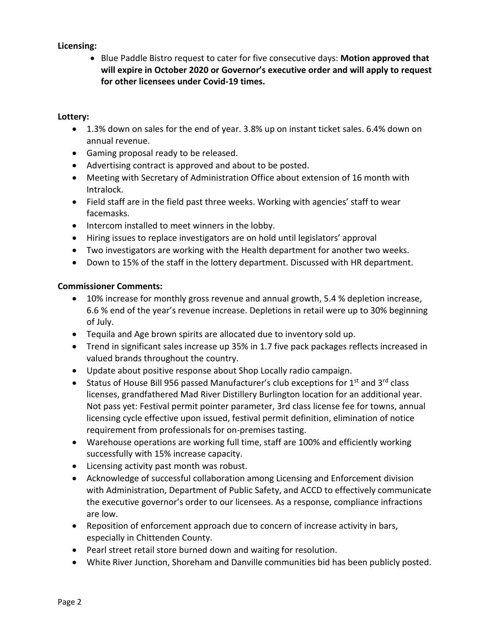# **Licensing:**

• Blue Paddle Bistro request to cater for five consecutive days: **Motion approved that will expire in October 2020 or Governor's executive order and will apply to request for other licensees under Covid-19 times.** 

## **Lottery:**

- 1.3% down on sales for the end of year. 3.8% up on instant ticket sales. 6.4% down on annual revenue.
- Gaming proposal ready to be released.
- Advertising contract is approved and about to be posted.
- Meeting with Secretary of Administration Office about extension of 16 month with Intralock.
- Field staff are in the field past three weeks. Working with agencies' staff to wear facemasks.
- Intercom installed to meet winners in the lobby.
- Hiring issues to replace investigators are on hold until legislators' approval
- Two investigators are working with the Health department for another two weeks.
- Down to 15% of the staff in the lottery department. Discussed with HR department.

## **Commissioner Comments:**

- 10% increase for monthly gross revenue and annual growth, 5.4 % depletion increase, 6.6 % end of the year's revenue increase. Depletions in retail were up to 30% beginning of July.
- Tequila and Age brown spirits are allocated due to inventory sold up.
- Trend in significant sales increase up 35% in 1.7 five pack packages reflects increased in valued brands throughout the country.
- Update about positive response about Shop Locally radio campaign.
- Status of House Bill 956 passed Manufacturer's club exceptions for  $1<sup>st</sup>$  and  $3<sup>rd</sup>$  class licenses, grandfathered Mad River Distillery Burlington location for an additional year. Not pass yet: Festival permit pointer parameter, 3rd class license fee for towns, annual licensing cycle effective upon issued, festival permit definition, elimination of notice requirement from professionals for on-premises tasting.
- Warehouse operations are working full time, staff are 100% and efficiently working successfully with 15% increase capacity.
- Licensing activity past month was robust.
- Acknowledge of successful collaboration among Licensing and Enforcement division with Administration, Department of Public Safety, and ACCD to effectively communicate the executive governor's order to our licensees. As a response, compliance infractions are low.
- Reposition of enforcement approach due to concern of increase activity in bars, especially in Chittenden County.
- Pearl street retail store burned down and waiting for resolution.
- White River Junction, Shoreham and Danville communities bid has been publicly posted.